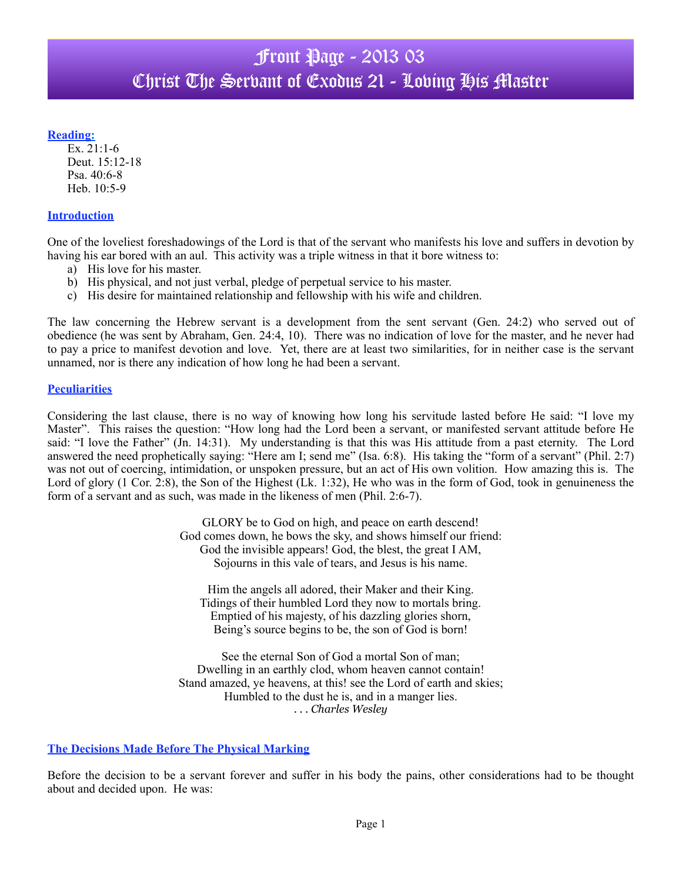#### **Reading:**

Ex. 21:1-6 Deut. 15:12-18 Psa. 40:6-8 Heb. 10:5-9

#### **Introduction**

One of the loveliest foreshadowings of the Lord is that of the servant who manifests his love and suffers in devotion by having his ear bored with an aul. This activity was a triple witness in that it bore witness to:

- a) His love for his master.
- b) His physical, and not just verbal, pledge of perpetual service to his master.
- c) His desire for maintained relationship and fellowship with his wife and children.

The law concerning the Hebrew servant is a development from the sent servant (Gen. 24:2) who served out of obedience (he was sent by Abraham, Gen. 24:4, 10). There was no indication of love for the master, and he never had to pay a price to manifest devotion and love. Yet, there are at least two similarities, for in neither case is the servant unnamed, nor is there any indication of how long he had been a servant.

### **Peculiarities**

Considering the last clause, there is no way of knowing how long his servitude lasted before He said: "I love my Master". This raises the question: "How long had the Lord been a servant, or manifested servant attitude before He said: "I love the Father" (Jn. 14:31). My understanding is that this was His attitude from a past eternity. The Lord answered the need prophetically saying: "Here am I; send me" (Isa. 6:8). His taking the "form of a servant" (Phil. 2:7) was not out of coercing, intimidation, or unspoken pressure, but an act of His own volition. How amazing this is. The Lord of glory (1 Cor. 2:8), the Son of the Highest (Lk. 1:32), He who was in the form of God, took in genuineness the form of a servant and as such, was made in the likeness of men (Phil. 2:6-7).

> GLORY be to God on high, and peace on earth descend! God comes down, he bows the sky, and shows himself our friend: God the invisible appears! God, the blest, the great I AM, Sojourns in this vale of tears, and Jesus is his name.

Him the angels all adored, their Maker and their King. Tidings of their humbled Lord they now to mortals bring. Emptied of his majesty, of his dazzling glories shorn, Being's source begins to be, the son of God is born!

See the eternal Son of God a mortal Son of man; Dwelling in an earthly clod, whom heaven cannot contain! Stand amazed, ye heavens, at this! see the Lord of earth and skies; Humbled to the dust he is, and in a manger lies. *. . . Charles Wesley*

### **The Decisions Made Before The Physical Marking**

Before the decision to be a servant forever and suffer in his body the pains, other considerations had to be thought about and decided upon. He was: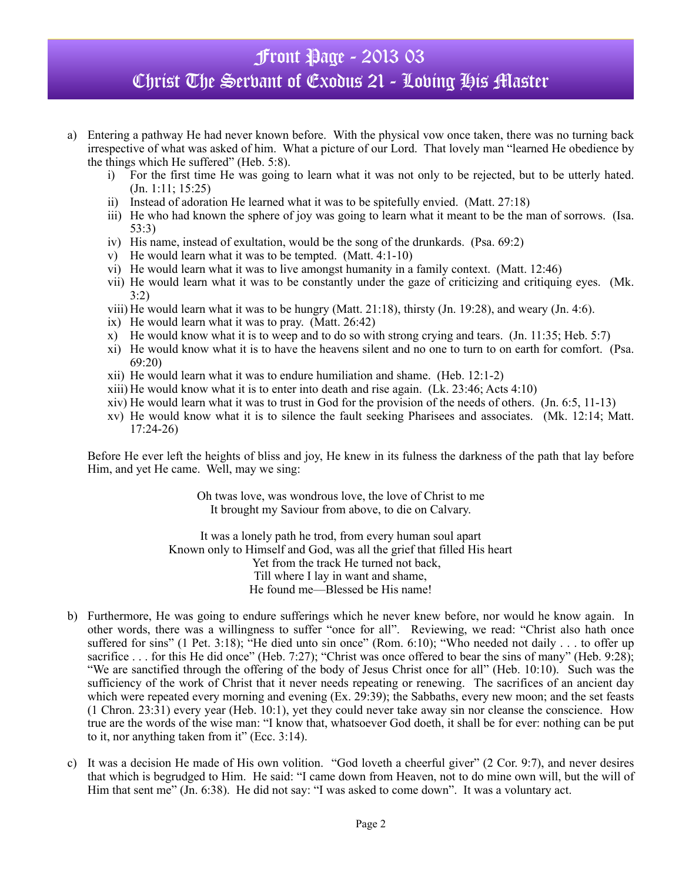- a) Entering a pathway He had never known before. With the physical vow once taken, there was no turning back irrespective of what was asked of him. What a picture of our Lord. That lovely man "learned He obedience by the things which He suffered" (Heb. 5:8).
	- i) For the first time He was going to learn what it was not only to be rejected, but to be utterly hated. (Jn. 1:11; 15:25)
	- ii) Instead of adoration He learned what it was to be spitefully envied. (Matt. 27:18)
	- iii) He who had known the sphere of joy was going to learn what it meant to be the man of sorrows. (Isa. 53:3)
	- iv) His name, instead of exultation, would be the song of the drunkards. (Psa. 69:2)
	- v) He would learn what it was to be tempted. (Matt. 4:1-10)
	- vi) He would learn what it was to live amongst humanity in a family context. (Matt. 12:46)
	- vii) He would learn what it was to be constantly under the gaze of criticizing and critiquing eyes. (Mk. 3:2)
	- viii) He would learn what it was to be hungry (Matt. 21:18), thirsty (Jn. 19:28), and weary (Jn. 4:6).
	- ix) He would learn what it was to pray. (Matt. 26:42)
	- x) He would know what it is to weep and to do so with strong crying and tears. (Jn. 11:35; Heb. 5:7)
	- xi) He would know what it is to have the heavens silent and no one to turn to on earth for comfort. (Psa. 69:20)
	- xii) He would learn what it was to endure humiliation and shame. (Heb. 12:1-2)
	- xiii) He would know what it is to enter into death and rise again. (Lk. 23:46; Acts 4:10)
	- xiv) He would learn what it was to trust in God for the provision of the needs of others. (Jn. 6:5, 11-13)
	- xv) He would know what it is to silence the fault seeking Pharisees and associates. (Mk. 12:14; Matt. 17:24-26)

Before He ever left the heights of bliss and joy, He knew in its fulness the darkness of the path that lay before Him, and yet He came. Well, may we sing:

> Oh twas love, was wondrous love, the love of Christ to me It brought my Saviour from above, to die on Calvary.

It was a lonely path he trod, from every human soul apart Known only to Himself and God, was all the grief that filled His heart Yet from the track He turned not back, Till where I lay in want and shame, He found me—Blessed be His name!

- b) Furthermore, He was going to endure sufferings which he never knew before, nor would he know again. In other words, there was a willingness to suffer "once for all". Reviewing, we read: "Christ also hath once suffered for sins" (1 Pet. 3:18); "He died unto sin once" (Rom. 6:10); "Who needed not daily . . . to offer up sacrifice . . . for this He did once" (Heb. 7:27); "Christ was once offered to bear the sins of many" (Heb. 9:28); "We are sanctified through the offering of the body of Jesus Christ once for all" (Heb. 10:10). Such was the sufficiency of the work of Christ that it never needs repeating or renewing. The sacrifices of an ancient day which were repeated every morning and evening (Ex. 29:39); the Sabbaths, every new moon; and the set feasts (1 Chron. 23:31) every year (Heb. 10:1), yet they could never take away sin nor cleanse the conscience. How true are the words of the wise man: "I know that, whatsoever God doeth, it shall be for ever: nothing can be put to it, nor anything taken from it" (Ecc. 3:14).
- c) It was a decision He made of His own volition. "God loveth a cheerful giver" (2 Cor. 9:7), and never desires that which is begrudged to Him. He said: "I came down from Heaven, not to do mine own will, but the will of Him that sent me" (Jn. 6:38). He did not say: "I was asked to come down". It was a voluntary act.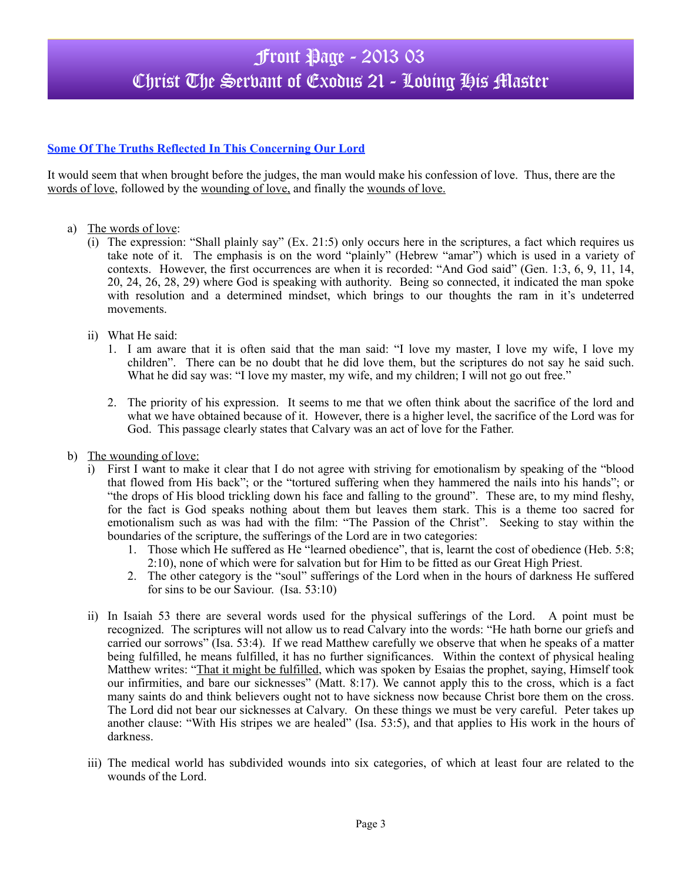### **Some Of The Truths Reflected In This Concerning Our Lord**

It would seem that when brought before the judges, the man would make his confession of love. Thus, there are the words of love, followed by the wounding of love, and finally the wounds of love.

- a) The words of love:
	- (i) The expression: "Shall plainly say" (Ex. 21:5) only occurs here in the scriptures, a fact which requires us take note of it. The emphasis is on the word "plainly" (Hebrew "amar") which is used in a variety of contexts. However, the first occurrences are when it is recorded: "And God said" (Gen. 1:3, 6, 9, 11, 14, 20, 24, 26, 28, 29) where God is speaking with authority. Being so connected, it indicated the man spoke with resolution and a determined mindset, which brings to our thoughts the ram in it's undeterred movements.
	- ii) What He said:
		- 1. I am aware that it is often said that the man said: "I love my master, I love my wife, I love my children". There can be no doubt that he did love them, but the scriptures do not say he said such. What he did say was: "I love my master, my wife, and my children; I will not go out free."
		- 2. The priority of his expression. It seems to me that we often think about the sacrifice of the lord and what we have obtained because of it. However, there is a higher level, the sacrifice of the Lord was for God. This passage clearly states that Calvary was an act of love for the Father.
- b) The wounding of love:
	- i) First I want to make it clear that I do not agree with striving for emotionalism by speaking of the "blood that flowed from His back"; or the "tortured suffering when they hammered the nails into his hands"; or "the drops of His blood trickling down his face and falling to the ground". These are, to my mind fleshy, for the fact is God speaks nothing about them but leaves them stark. This is a theme too sacred for emotionalism such as was had with the film: "The Passion of the Christ". Seeking to stay within the boundaries of the scripture, the sufferings of the Lord are in two categories:
		- 1. Those which He suffered as He "learned obedience", that is, learnt the cost of obedience (Heb. 5:8; 2:10), none of which were for salvation but for Him to be fitted as our Great High Priest.
		- 2. The other category is the "soul" sufferings of the Lord when in the hours of darkness He suffered for sins to be our Saviour. (Isa. 53:10)
	- ii) In Isaiah 53 there are several words used for the physical sufferings of the Lord. A point must be recognized. The scriptures will not allow us to read Calvary into the words: "He hath borne our griefs and carried our sorrows" (Isa. 53:4). If we read Matthew carefully we observe that when he speaks of a matter being fulfilled, he means fulfilled, it has no further significances. Within the context of physical healing Matthew writes: "That it might be fulfilled, which was spoken by Esaias the prophet, saying, Himself took our infirmities, and bare our sicknesses" (Matt. 8:17). We cannot apply this to the cross, which is a fact many saints do and think believers ought not to have sickness now because Christ bore them on the cross. The Lord did not bear our sicknesses at Calvary. On these things we must be very careful. Peter takes up another clause: "With His stripes we are healed" (Isa. 53:5), and that applies to His work in the hours of darkness.
	- iii) The medical world has subdivided wounds into six categories, of which at least four are related to the wounds of the Lord.